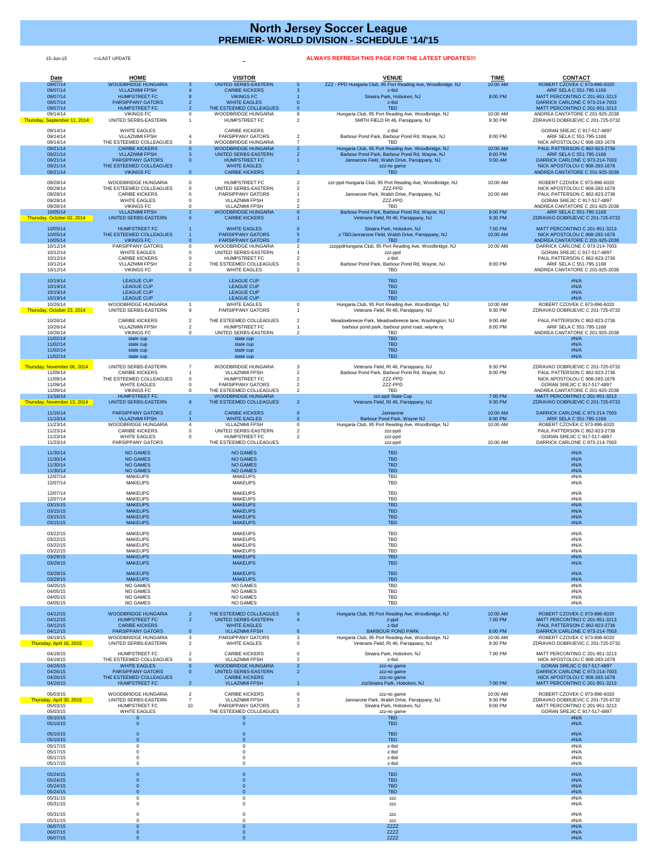| <b>Date</b>                              | <b>HOME</b>                                         |                                  | <b>VISITOR</b>                                           |                                | <b>VENUE</b>                                                                                | <b>TIME</b>         | <b>CONTACT</b>                                                          |
|------------------------------------------|-----------------------------------------------------|----------------------------------|----------------------------------------------------------|--------------------------------|---------------------------------------------------------------------------------------------|---------------------|-------------------------------------------------------------------------|
| 09/07/14<br>09/07/14                     | <b>WOODBRIDGE HUNGARIA</b><br><b>VLLAZNIMI FPSH</b> | $\mathbf{3}$                     | <b>UNITED SERBS-EASTERN</b><br><b>CARIBE KICKERS</b>     |                                | ZZZ - PPD Hungaria Club, 95 Port Reading Ave, Woodbridge, NJ<br>z-tbd                       | 10:00 AM            | ROBERT CZOVEK C 973-896-6020<br>ARIF SELA C 551-795-1168                |
| 09/07/14<br>09/07/14                     | <b>HUMPSTREET FC</b><br><b>PARSIPPANY GATORS</b>    |                                  | <b>VIKINGS FC</b><br><b>WHITE EAGLES</b>                 |                                | Sinatra Park, Hoboken, NJ<br>z-tbd                                                          | 8:00 PM             | <b>MATT PERCONTINO C 201-951-3213</b><br>DARRICK CARLONE C 973-214-7003 |
| 09/07/14                                 | <b>HUMPSTREET FC</b>                                |                                  | THE ESTEEMED COLLEAGUES                                  |                                | <b>TBD</b>                                                                                  |                     | MATT PERCONTINO C 201-951-3213                                          |
| 09/14/14<br>Thursday, September 11, 2014 | <b>VIKINGS FC</b><br>UNITED SERBS-EASTERN           |                                  | <b>WOODBRIDGE HUNGARIA</b><br><b>HUMPSTREET FC</b>       | 8<br>$\overline{2}$            | Hungaria Club, 95 Port Reading Ave, Woodbridge, NJ<br>SMITH FIELD Rt 46, Parsippany, NJ     | 10:00 AM<br>9:30 PM | ANDREA CANTATORE C 201-925-2038<br>ZDRAVKO DOBRIJEVIC C 201-725-0732    |
| 09/14/14                                 | <b>WHITE EAGLES</b>                                 |                                  | <b>CARIBE KICKERS</b>                                    |                                |                                                                                             |                     | GORAN SREJIC C 917-517-4897                                             |
| 09/14/14                                 | <b>VLLAZNIMI FPSH</b>                               | -4                               | <b>PARSIPPANY GATORS</b>                                 | $\overline{2}$                 | z-tbd<br>Barbour Pond Park, Barbour Pond Rd, Wayne, NJ                                      | 8:00 PM             | ARIF SELA C 551-795-1168                                                |
| 09/14/14<br>09/21/14                     | THE ESTEEMED COLLEAGUES<br><b>CARIBE KICKERS</b>    | $\mathbf{3}$<br>$\overline{0}$   | <b>WOODBRIDGE HUNGARIA</b><br><b>WOODBRIDGE HUNGARIA</b> | $\overline{2}$                 | <b>TBD</b><br>Hungaria Club, 95 Port Reading Ave, Woodbridge, NJ                            | 10:00 AM            | NICK APOSTOLOU C 908-283-1678<br>PAUL PATTERSON C 862-823-2736          |
| 09/21/14                                 | <b>VLLAZNIMI FPSH</b>                               | $\overline{\mathbf{3}}$          | UNITED SERBS-EASTERN                                     |                                | Barbour Pond Park, Barbour Pond Rd, Wayne, NJ                                               | 8:00 PM             | ARIF SELA C 551-795-1168                                                |
| 09/21/14<br>09/21/14                     | <b>PARSIPPANY GATORS</b><br>THE ESTEEMED COLLEAGUES | $\overline{0}$                   | <b>HUMPSTREET FC</b><br><b>WHITE EAGLES</b>              |                                | Jannarone Field, Walsh Drive, Parsippany, NJ<br>zzz-no game                                 | 9:00 AM             | DARRICK CARLONE C 973-214-7003<br>NICK APOSTOLOU C 908-283-1678         |
| 09/21/14                                 | <b>VIKINGS FC</b>                                   | $\overline{0}$                   | <b>CARIBE KICKERS</b>                                    | $\overline{2}$                 | <b>TBD</b>                                                                                  |                     | ANDREA CANTATORE C 201-925-2038                                         |
| 09/28/14                                 | <b>WOODBRIDGE HUNGARIA</b>                          | $\overline{0}$                   | <b>HUMPSTREET FC</b>                                     | $\overline{2}$                 | zzz-ppd Hungaria Club, 95 Port Reading Ave, Woodbridge, NJ                                  | 10:00 AM            | ROBERT CZOVEK C 973-896-6020                                            |
| 09/28/14<br>09/28/14                     | THE ESTEEMED COLLEAGUES<br><b>CARIBE KICKERS</b>    | $\overline{0}$                   | UNITED SERBS-EASTERN<br><b>PARSIPPANY GATORS</b>         |                                | ZZZ-PPD<br>Jannarone Park, Walsh Drive, Parsippany, NJ                                      | 10:00 AM            | NICK APOSTOLOU C 908-283-1678<br>PAUL PATTERSON C 862-823-2736          |
| 09/28/14                                 | <b>WHITE EAGLES</b>                                 |                                  | <b>VLLAZNIMI FPSH</b>                                    |                                | ZZZ-PPD                                                                                     |                     | GORAN SREJIC C 917-517-4897                                             |
| 09/28/14<br>10/05/14                     | <b>VIKINGS FC</b><br><b>VLLAZNIMI FPSH</b>          | $\overline{2}$                   | <b>VLLAZNIMI FPSH</b><br><b>WOODBRIDGE HUNGARIA</b>      |                                | <b>TBD</b><br>Barbour Pond Park, Barbour Pond Rd, Wayne, NJ                                 | 8:00 PM             | ANDREA CANTATORE C 201-925-2038<br>ARIF SELA C 551-795-1168             |
| Thursday, October 02, 2014               | <b>UNITED SERBS-EASTERN</b>                         | - 6                              | <b>CARIBE KICKERS</b>                                    |                                | Veterans Field, Rt 46, Parsippany, NJ                                                       | 9:30 PM             | ZDRAVKO DOBRIJEVIC C 201-725-0732                                       |
| 10/05/14                                 | <b>HUMPSTREET FC</b>                                |                                  | <b>WHITE EAGLES</b>                                      |                                | Sinatra Park, Hoboken, NJ                                                                   | 7:00 PM             | MATT PERCONTINO C 201-951-3213                                          |
| 10/05/14<br>10/05/14                     | THE ESTEEMED COLLEAGUES<br><b>VIKINGS FC</b>        | $\overline{0}$                   | <b>PARSIPPANY GATORS</b><br><b>PARSIPPANY GATORS</b>     |                                | z-TBDJannarone Field, Walsh Drive, Parsippany, NJ<br><b>TBD</b>                             | 10:00 AM            | NICK APOSTOLOU C 908-283-1678<br>ANDREA CANTATORE C 201-925-2038        |
| 10/12/14                                 | <b>PARSIPPANY GATORS</b>                            | $\Omega$                         | <b>WOODBRIDGE HUNGARIA</b>                               | $\overline{2}$                 | zzzppdHungaria Club, 95 Port Reading Ave, Woodbridge, NJ                                    | 10:00 AM            | DARRICK CARLONE C 973-214-7003                                          |
| 10/12/14<br>10/12/14                     | <b>WHITE EAGLES</b><br><b>CARIBE KICKERS</b>        |                                  | UNITED SERBS-EASTERN<br><b>HUMPSTREET FC</b>             |                                | zzz-ppd<br>z-tbd                                                                            |                     | GORAN SREJIC C 917-517-4897<br>PAUL PATTERSON C 862-823-2736            |
| 10/12/14                                 | <b>VLLAZNIMI FPSH</b>                               |                                  | THE ESTEEMED COLLEAGUES                                  |                                | Barbour Pond Park, Barbour Pond Rd, Wayne, NJ                                               | 8:00 PM             | ARIF SELA C 551-795-1168                                                |
| 10/12/14                                 | <b>VIKINGS FC</b>                                   |                                  | <b>WHITE EAGLES</b>                                      |                                | <b>TBD</b>                                                                                  |                     | ANDREA CANTATORE C 201-925-2038                                         |
| 10/19/14<br>10/19/14                     | <b>LEAGUE CUP</b><br><b>LEAGUE CUP</b>              |                                  | <b>LEAGUE CUP</b><br><b>LEAGUE CUP</b>                   |                                | <b>TBD</b>                                                                                  |                     | #N/A<br>#N/A                                                            |
| 10/19/14                                 | <b>LEAGUE CUP</b>                                   |                                  | <b>LEAGUE CUP</b>                                        |                                | <b>TBD</b><br><b>TBD</b>                                                                    |                     | #N/A                                                                    |
| 10/19/14<br>10/26/14                     | <b>LEAGUE CUP</b><br><b>WOODBRIDGE HUNGARIA</b>     |                                  | <b>LEAGUE CUP</b><br><b>WHITE EAGLES</b>                 |                                | <b>TBD</b><br>Hungaria Club, 95 Port Reading Ave, Woodbridge, NJ                            | 10:00 AM            | #N/A<br>ROBERT CZOVEK C 973-896-6020                                    |
| Thursday, October 23, 2014               | UNITED SERBS-EASTERN                                | 9                                | PARSIPPANY GATORS                                        |                                | Veterans Field, Rt 46, Parsippany, NJ                                                       | 9:30 PM             | ZDRAVKO DOBRIJEVIC C 201-725-0732                                       |
| 10/26/14                                 | <b>CARIBE KICKERS</b>                               | $\overline{2}$                   | THE ESTEEMED COLLEAGUES                                  | $\overline{2}$                 | Meadowbreeze Park, Meadowbreeze lane, Washington, NJ                                        | 9:00 AM             | PAUL PATTERSON C 862-823-2736                                           |
| 10/26/14                                 | <b>VLLAZNIMI FPSH</b>                               | $\overline{2}$                   | <b>HUMPSTREET FC</b>                                     |                                | barbour pond park, barbour pond road, wayne nj                                              | 8:00 PM             | ARIF SELA C 551-795-1168                                                |
| 10/26/14<br>11/02/14                     | <b>VIKINGS FC</b><br>state cup                      | $\Omega$                         | UNITED SERBS-EASTERN<br>state cup                        | $\overline{2}$                 | <b>TBD</b><br><b>TBD</b>                                                                    |                     | ANDREA CANTATORE C 201-925-2038<br>#N/A                                 |
| 11/02/14                                 | state cup                                           |                                  | state cup                                                |                                | <b>TBD</b>                                                                                  |                     | #N/A                                                                    |
| 11/02/14<br>11/02/14                     | state cup<br>state cup                              |                                  | state cup<br>state cup                                   |                                | <b>TBD</b><br><b>TBD</b>                                                                    |                     | #N/A<br>#N/A                                                            |
| Thursday, November 06, 2014              | UNITED SERBS-EASTERN                                | $\overline{7}$                   | <b>WOODBRIDGE HUNGARIA</b>                               | 3                              | Veterans Field, Rt 46, Parsippany, NJ                                                       | 9:30 PM             | ZDRAVKO DOBRIJEVIC C 201-725-0732                                       |
| 11/09/14                                 | <b>CARIBE KICKERS</b>                               |                                  | <b>VLLAZNIMI FPSH</b>                                    | $\overline{2}$                 | Barbour Pond Park, Barbour Pond Rd, Wayne, NJ                                               | 8:00 PM             | PAUL PATTERSON C 862-823-2736                                           |
| 11/09/14<br>11/09/14                     | THE ESTEEMED COLLEAGUES<br><b>WHITE EAGLES</b>      |                                  | <b>HUMPSTREET FC</b><br><b>PARSIPPANY GATORS</b>         |                                | ZZZ-PPD<br>ZZZ-PPD                                                                          |                     | NICK APOSTOLOU C 908-283-1678<br>GORAN SREJIC C 917-517-4897            |
| 11/09/14                                 | <b>VIKINGS FC</b>                                   |                                  | THE ESTEEMED COLLEAGUES                                  | $\overline{2}$                 | <b>TBD</b>                                                                                  |                     | ANDREA CANTATORE C 201-925-2038                                         |
| 11/16/14<br>Thursday, November 13, 2014  | <b>HUMPSTREET FC</b><br><b>UNITED SERBS-EASTERN</b> | 8                                | <b>WOODBRIDGE HUNGARIA</b><br>THE ESTEEMED COLLEAGUES    | $\overline{2}$                 | zzz-ppd State Cup<br>Veterans Field, Rt 46, Parsippany, NJ                                  | 7:00 PM<br>9:30 PM  | MATT PERCONTINO C 201-951-3213<br>ZDRAVKO DOBRIJEVIC C 201-725-0732     |
| 11/16/14                                 | <b>PARSIPPANY GATORS</b>                            | -2                               | <b>CARIBE KICKERS</b>                                    | - 0                            | Jannarone                                                                                   | 10:00 AM            | DARRICK CARLONE C 973-214-7003                                          |
| 11/16/14                                 | <b>VLLAZNIMI FPSH</b>                               |                                  | <b>WHITE EAGLES</b>                                      | $\overline{0}$                 | Barbour Pond Park, Wayne NJ                                                                 | 8:00 PM             | ARIF SELA C 551-795-1168                                                |
| 11/23/14<br>11/23/14                     | <b>WOODBRIDGE HUNGARIA</b><br><b>CARIBE KICKERS</b> |                                  | <b>VLLAZNIMI FPSH</b><br>UNITED SERBS-EASTERN            | $\Omega$<br>$\overline{2}$     | Hungaria Club, 95 Port Reading Ave, Woodbridge, NJ<br>zzz-ppd                               | 10:00 AM            | ROBERT CZOVEK C 973-896-6020<br>PAUL PATTERSON C 862-823-2736           |
| 11/23/14                                 | <b>WHITE EAGLES</b>                                 | $\overline{0}$                   | <b>HUMPSTREET FC</b>                                     | $\overline{2}$                 | zzz-ppd                                                                                     |                     | GORAN SREJIC C 917-517-4897                                             |
| 11/23/14                                 | <b>PARSIPPANY GATORS</b>                            |                                  | THE ESTEEMED COLLEAGUES                                  |                                | zzz-ppd                                                                                     | 10:00 AM            | DARRICK CARLONE C 973-214-7003                                          |
| 11/30/14<br>11/30/14                     | <b>NO GAMES</b><br><b>NO GAMES</b>                  |                                  | <b>NO GAMES</b><br><b>NO GAMES</b>                       |                                | <b>TBD</b><br><b>TBD</b>                                                                    |                     | #N/A<br>#N/A                                                            |
| 11/30/14                                 | <b>NO GAMES</b>                                     |                                  | <b>NO GAMES</b>                                          |                                | <b>TBD</b>                                                                                  |                     | #N/A                                                                    |
| 11/30/14<br>12/07/14                     | <b>NO GAMES</b><br><b>MAKEUPS</b>                   |                                  | <b>NO GAMES</b><br><b>MAKEUPS</b>                        |                                | <b>TBD</b><br><b>TBD</b>                                                                    |                     | #N/A<br>#N/A                                                            |
| 12/07/14                                 | <b>MAKEUPS</b>                                      |                                  | <b>MAKEUPS</b>                                           |                                | <b>TBD</b>                                                                                  |                     | #N/A                                                                    |
| 12/07/14                                 | <b>MAKEUPS</b>                                      |                                  | <b>MAKEUPS</b>                                           |                                | <b>TBD</b>                                                                                  |                     | #N/A                                                                    |
| 12/07/14<br>03/15/15                     | <b>MAKEUPS</b><br><b>MAKEUPS</b>                    |                                  | <b>MAKEUPS</b><br><b>MAKEUPS</b>                         |                                | <b>TBD</b><br><b>TBD</b>                                                                    |                     | #N/A<br>#N/A                                                            |
| 03/15/15                                 | <b>MAKEUPS</b>                                      |                                  | <b>MAKEUPS</b>                                           |                                | <b>TBD</b>                                                                                  |                     | #N/A                                                                    |
| 03/15/15<br>03/15/15                     | <b>MAKEUPS</b><br><b>MAKEUPS</b>                    |                                  | <b>MAKEUPS</b><br><b>MAKEUPS</b>                         |                                | <b>TBD</b><br><b>TBD</b>                                                                    |                     | #N/A<br>#N/A                                                            |
|                                          |                                                     |                                  |                                                          |                                |                                                                                             |                     |                                                                         |
| 03/22/15<br>03/22/15                     | <b>MAKEUPS</b><br><b>MAKEUPS</b>                    |                                  | <b>MAKEUPS</b><br><b>MAKEUPS</b>                         |                                | <b>TBD</b><br><b>TBD</b>                                                                    |                     | #N/A<br>#N/A                                                            |
| 03/22/15<br>03/22/15                     | <b>MAKEUPS</b><br><b>MAKEUPS</b>                    |                                  | <b>MAKEUPS</b><br><b>MAKEUPS</b>                         |                                | <b>TBD</b><br><b>TBD</b>                                                                    |                     | #N/A<br>#N/A                                                            |
| 03/29/15                                 | <b>MAKEUPS</b>                                      |                                  | <b>MAKEUPS</b>                                           |                                | <b>TBD</b>                                                                                  |                     | #N/A                                                                    |
| 03/29/15                                 | <b>MAKEUPS</b>                                      |                                  | <b>MAKEUPS</b>                                           |                                | <b>TBD</b>                                                                                  |                     | #N/A                                                                    |
| 03/29/15                                 | <b>MAKEUPS</b>                                      |                                  | <b>MAKEUPS</b>                                           |                                | <b>TBD</b>                                                                                  |                     | #N/A                                                                    |
| 03/29/15<br>04/05/15                     | <b>MAKEUPS</b><br><b>NO GAMES</b>                   |                                  | <b>MAKEUPS</b><br><b>NO GAMES</b>                        |                                | <b>TBD</b><br><b>TBD</b>                                                                    |                     | #N/A<br>#N/A                                                            |
| 04/05/15                                 | <b>NO GAMES</b><br><b>NO GAMES</b>                  |                                  | <b>NO GAMES</b>                                          |                                | <b>TBD</b><br><b>TBD</b>                                                                    |                     | #N/A<br>#N/A                                                            |
| 04/05/15<br>04/05/15                     | <b>NO GAMES</b>                                     |                                  | NO GAMES<br><b>NO GAMES</b>                              |                                | <b>TBD</b>                                                                                  |                     | #N/A                                                                    |
| 04/12/15                                 | <b>WOODBRIDGE HUNGARIA</b>                          | -2                               | THE ESTEEMED COLLEAGUES                                  | $\overline{0}$                 | Hungaria Club, 95 Port Reading Ave, Woodbridge, NJ                                          | 10:00 AM            | ROBERT CZOVEK C 973-896-6020                                            |
| 04/12/15                                 | <b>HUMPSTREET FC</b>                                | $\overline{2}$                   | UNITED SERBS-EASTERN                                     |                                | z-ppd                                                                                       | 7:00 PM             | MATT PERCONTINO C 201-951-3213                                          |
| 04/12/15<br>04/12/15                     | <b>CARIBE KICKERS</b><br><b>PARSIPPANY GATORS</b>   | $\overline{0}$                   | <b>WHITE EAGLES</b><br><b>VLLAZNIMI FPSH</b>             | -6                             | z-tbd<br><b>BARBOUR POND PARK</b>                                                           | 8:00 PM             | PAUL PATTERSON C 862-823-2736<br>DARRICK CARLONE C 973-214-7003         |
| 04/19/15<br>Thursday, April 16, 2015     | <b>WOODBRIDGE HUNGARIA</b><br>UNITED SERBS-EASTERN  | $\mathbf{3}$<br>$\overline{2}$   | <b>PARSIPPANY GATORS</b><br><b>WHITE EAGLES</b>          | $\mathbf{3}$<br>$\Omega$       | Hungaria Club, 95 Port Reading Ave, Woodbridge, NJ<br>Veterans Field, Rt 46, Parsippany, NJ | 10:00 AM<br>9:30 PM | ROBERT CZOVEK C 973-896-6020<br>ZDRAVKO DOBRIJEVIC C 201-725-0732       |
|                                          |                                                     |                                  |                                                          |                                |                                                                                             |                     |                                                                         |
| 04/19/15<br>04/19/15                     | <b>HUMPSTREET FC</b><br>THE ESTEEMED COLLEAGUES     | $\overline{2}$<br>$\overline{0}$ | <b>CARIBE KICKERS</b><br><b>VLLAZNIMI FPSH</b>           | $\overline{2}$                 | Sinatra Park, Hoboken, NJ<br>z-tbd                                                          | 7:00 PM             | MATT PERCONTINO C 201-951-3213<br>NICK APOSTOLOU C 908-283-1678         |
| 04/26/15<br>04/26/15                     | <b>WHITE EAGLES</b><br><b>PARSIPPANY GATORS</b>     | $\overline{0}$<br>$\overline{0}$ | <b>WOODBRIDGE HUNGARIA</b><br>UNITED SERBS-EASTERN       | $\mathbf{2}$<br>$\overline{2}$ | zzz-no game                                                                                 |                     | <b>GORAN SREJIC C 917-517-4897</b><br>DARRICK CARLONE C 973-214-7003    |
| 04/26/15                                 | THE ESTEEMED COLLEAGUES                             |                                  | <b>CARIBE KICKERS</b>                                    |                                | zzz-no game<br>zzz-no game                                                                  |                     | NICK APOSTOLOU C 908-283-1678                                           |
| 04/26/15                                 | <b>HUMPSTREET FC</b>                                | $\overline{2}$                   | <b>VLLAZNIMI FPSH</b>                                    |                                | zzzSinatra Park, Hoboken, NJ                                                                | 7:00 PM             | MATT PERCONTINO C 201-951-3213                                          |
| 05/03/15                                 | <b>WOODBRIDGE HUNGARIA</b>                          | $\overline{2}$                   | <b>CARIBE KICKERS</b>                                    | $\Omega$                       | zzz-no game                                                                                 | 10:00 AM            | ROBERT CZOVEK C 973-896-6020                                            |
| Thursday, April 30, 2015<br>05/03/15     | UNITED SERBS-EASTERN<br><b>HUMPSTREET FC</b>        | 10                               | <b>VLLAZNIMI FPSH</b><br>PARSIPPANY GATORS               |                                | Jannarone Park, Walsh Drive, Parsippany, NJ<br>Sinatra Park, Hoboken, NJ                    | 9:30 PM<br>9:00 PM  | ZDRAVKO DOBRIJEVIC C 201-725-0732<br>MATT PERCONTINO C 201-951-3213     |
| 05/03/15<br>05/10/15                     | <b>WHITE EAGLES</b>                                 |                                  | THE ESTEEMED COLLEAGUES                                  |                                | zzz-no game<br><b>TBD</b>                                                                   |                     | GORAN SREJIC C 917-517-4897<br>#N/A                                     |
| 05/10/15                                 |                                                     |                                  |                                                          |                                | <b>TBD</b>                                                                                  |                     | #N/A                                                                    |
| 05/10/15                                 |                                                     |                                  |                                                          |                                | <b>TBD</b>                                                                                  |                     | #N/A                                                                    |
| 05/10/15                                 |                                                     |                                  |                                                          |                                | <b>TBD</b>                                                                                  |                     | #N/A                                                                    |
| 05/17/15<br>05/17/15                     |                                                     |                                  |                                                          |                                | z-tbd<br>z-tbd                                                                              |                     | #N/A<br>#N/A                                                            |
| 05/17/15<br>05/17/15                     |                                                     |                                  |                                                          |                                | z-tbd<br>z-tbd                                                                              |                     | #N/A<br>$\#N/A$                                                         |
|                                          |                                                     |                                  |                                                          |                                |                                                                                             |                     |                                                                         |
|                                          |                                                     |                                  |                                                          |                                | <b>TBD</b>                                                                                  |                     |                                                                         |
| 05/24/15<br>05/24/15                     |                                                     |                                  |                                                          |                                | <b>TBD</b>                                                                                  |                     | #N/A<br>#N/A                                                            |
| 05/24/15                                 |                                                     |                                  |                                                          |                                | <b>TBD</b>                                                                                  |                     | #N/A                                                                    |
| 05/24/15<br>05/31/15                     |                                                     |                                  |                                                          |                                | <b>TBD</b><br>ZZZ                                                                           |                     | #N/A<br>#N/A                                                            |
| 05/31/15                                 |                                                     |                                  |                                                          |                                | <b>ZZZ</b>                                                                                  |                     | #N/A                                                                    |
| 05/31/15                                 |                                                     |                                  |                                                          |                                | <b>ZZZ</b>                                                                                  |                     | #N/A                                                                    |
| 05/31/15<br>06/07/15                     |                                                     |                                  |                                                          |                                | <b>ZZZ</b><br><b>ZZZZ</b>                                                                   |                     | $\#N/A$<br>#N/A                                                         |

## **North Jersey Soccer League PREMIER- WORLD DIVISION - SCHEDULE '14/'15**

## 15-Jun-15 <=LAST UPDATE **ALWAYS REFRESH THIS PAGE FOR THE LATEST UPDATES!!!**